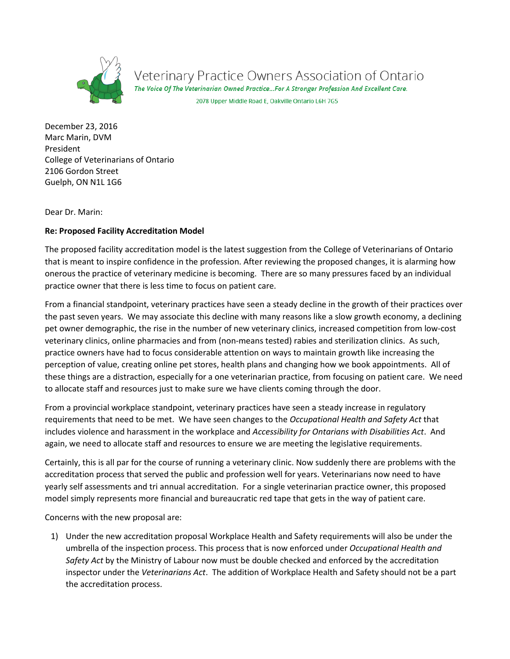

Veterinary Practice Owners Association of Ontario<br>The Voice of The Veterinarian Owned Practice...For A Stronger Profession And Excellent Care.

2078 Upper Middle Road E, Oakville Ontario L6H 7G5

December 23, 2016 Marc Marin, DVM President College of Veterinarians of Ontario 2106 Gordon Street Guelph, ON N1L 1G6

Dear Dr. Marin:

## **Re: Proposed Facility Accreditation Model**

The proposed facility accreditation model is the latest suggestion from the College of Veterinarians of Ontario that is meant to inspire confidence in the profession. After reviewing the proposed changes, it is alarming how onerous the practice of veterinary medicine is becoming. There are so many pressures faced by an individual practice owner that there is less time to focus on patient care.

From a financial standpoint, veterinary practices have seen a steady decline in the growth of their practices over the past seven years. We may associate this decline with many reasons like a slow growth economy, a declining pet owner demographic, the rise in the number of new veterinary clinics, increased competition from low-cost veterinary clinics, online pharmacies and from (non-means tested) rabies and sterilization clinics. As such, practice owners have had to focus considerable attention on ways to maintain growth like increasing the perception of value, creating online pet stores, health plans and changing how we book appointments. All of these things are a distraction, especially for a one veterinarian practice, from focusing on patient care. We need to allocate staff and resources just to make sure we have clients coming through the door.

From a provincial workplace standpoint, veterinary practices have seen a steady increase in regulatory requirements that need to be met. We have seen changes to the *Occupational Health and Safety Act* that includes violence and harassment in the workplace and *Accessibility for Ontarians with Disabilities Act*. And again, we need to allocate staff and resources to ensure we are meeting the legislative requirements.

Certainly, this is all par for the course of running a veterinary clinic. Now suddenly there are problems with the accreditation process that served the public and profession well for years. Veterinarians now need to have yearly self assessments and tri annual accreditation. For a single veterinarian practice owner, this proposed model simply represents more financial and bureaucratic red tape that gets in the way of patient care.

Concerns with the new proposal are:

1) Under the new accreditation proposal Workplace Health and Safety requirements will also be under the umbrella of the inspection process. This process that is now enforced under *Occupational Health and Safety Act* by the Ministry of Labour now must be double checked and enforced by the accreditation inspector under the *Veterinarians Act*. The addition of Workplace Health and Safety should not be a part the accreditation process.